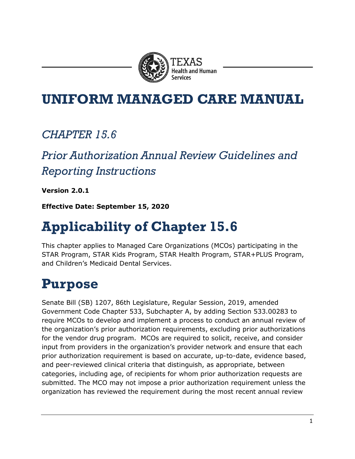

### **UNIFORM MANAGED CARE MANUAL**

#### *CHAPTER 15.6*

#### *Prior Authorization Annual Review Guidelines and Reporting Instructions*

**Version 2.0.1**

**Effective Date: September 15, 2020**

# **Applicability of Chapter 15.6**

This chapter applies to Managed Care Organizations (MCOs) participating in the STAR Program, STAR Kids Program, STAR Health Program, STAR+PLUS Program, and Children's Medicaid Dental Services.

# **Purpose**

Senate Bill (SB) 1207, 86th Legislature, Regular Session, 2019, amended Government Code Chapter 533, Subchapter A, by adding Section 533.00283 to require MCOs to develop and implement a process to conduct an annual review of the organization's prior authorization requirements, excluding prior authorizations for the vendor drug program. MCOs are required to solicit, receive, and consider input from providers in the organization's provider network and ensure that each prior authorization requirement is based on accurate, up-to-date, evidence based, and peer-reviewed clinical criteria that distinguish, as appropriate, between categories, including age, of recipients for whom prior authorization requests are submitted. The MCO may not impose a prior authorization requirement unless the organization has reviewed the requirement during the most recent annual review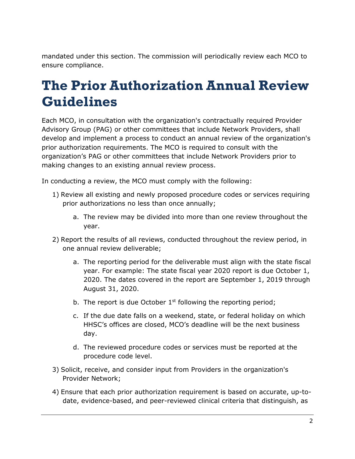mandated under this section. The commission will periodically review each MCO to ensure compliance.

## **The Prior Authorization Annual Review Guidelines**

Each MCO, in consultation with the organization's contractually required Provider Advisory Group (PAG) or other committees that include Network Providers, shall develop and implement a process to conduct an annual review of the organization's prior authorization requirements. The MCO is required to consult with the organization's PAG or other committees that include Network Providers prior to making changes to an existing annual review process.

In conducting a review, the MCO must comply with the following:

- 1) Review all existing and newly proposed procedure codes or services requiring prior authorizations no less than once annually;
	- a. The review may be divided into more than one review throughout the year.
- 2) Report the results of all reviews, conducted throughout the review period, in one annual review deliverable;
	- a. The reporting period for the deliverable must align with the state fiscal year. For example: The state fiscal year 2020 report is due October 1, 2020. The dates covered in the report are September 1, 2019 through August 31, 2020.
	- b. The report is due October  $1<sup>st</sup>$  following the reporting period;
	- c. If the due date falls on a weekend, state, or federal holiday on which HHSC's offices are closed, MCO's deadline will be the next business day.
	- d. The reviewed procedure codes or services must be reported at the procedure code level.
- 3) Solicit, receive, and consider input from Providers in the organization's Provider Network;
- 4) Ensure that each prior authorization requirement is based on accurate, up-todate, evidence-based, and peer-reviewed clinical criteria that distinguish, as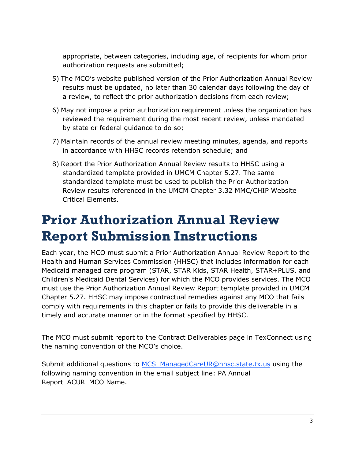appropriate, between categories, including age, of recipients for whom prior authorization requests are submitted;

- 5) The MCO's website published version of the Prior Authorization Annual Review results must be updated, no later than 30 calendar days following the day of a review, to reflect the prior authorization decisions from each review;
- 6) May not impose a prior authorization requirement unless the organization has reviewed the requirement during the most recent review, unless mandated by state or federal guidance to do so;
- 7) Maintain records of the annual review meeting minutes, agenda, and reports in accordance with HHSC records retention schedule; and
- 8) Report the Prior Authorization Annual Review results to HHSC using a standardized template provided in UMCM Chapter 5.27. The same standardized template must be used to publish the Prior Authorization Review results referenced in the UMCM Chapter 3.32 MMC/CHIP Website Critical Elements.

# **Prior Authorization Annual Review Report Submission Instructions**

Each year, the MCO must submit a Prior Authorization Annual Review Report to the Health and Human Services Commission (HHSC) that includes information for each Medicaid managed care program (STAR, STAR Kids, STAR Health, STAR+PLUS, and Children's Medicaid Dental Services) for which the MCO provides services. The MCO must use the Prior Authorization Annual Review Report template provided in UMCM Chapter 5.27. HHSC may impose contractual remedies against any MCO that fails comply with requirements in this chapter or fails to provide this deliverable in a timely and accurate manner or in the format specified by HHSC.

The MCO must submit report to the Contract Deliverables page in TexConnect using the naming convention of the MCO's choice.

Submit additional questions to MCS ManagedCareUR@hhsc.state.tx.us using the following naming convention in the email subject line: PA Annual Report\_ACUR\_MCO Name.